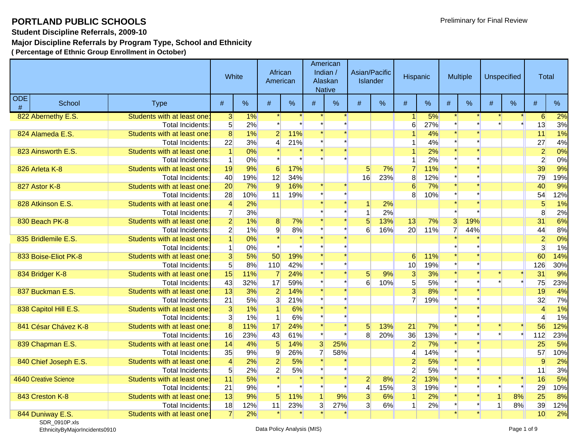**Student Discipline Referrals, 2009-10**

#### **Major Discipline Referrals by Program Type, School and Ethnicity**

**( Percentage of Ethnic Group Enrollment in October)**

|   | <b>ODE</b><br>School<br><b>Type</b> |                             | White           |       | African<br>American |     |                | American<br>Indian /<br>Alaskan<br><b>Native</b> | Asian/Pacific<br><b>Islander</b> |     | Hispanic       |     |                | Multiple |              | Unspecified | Total            |               |
|---|-------------------------------------|-----------------------------|-----------------|-------|---------------------|-----|----------------|--------------------------------------------------|----------------------------------|-----|----------------|-----|----------------|----------|--------------|-------------|------------------|---------------|
| # |                                     |                             | #               | $\%$  | #                   | %   | #              | %                                                | #                                | %   | #              | %   | #              | $\%$     | #            | $\%$        | #                | $\frac{9}{6}$ |
|   | 822 Abernethy E.S.                  | Students with at least one: | 3               | $1\%$ |                     |     |                |                                                  |                                  |     | 1              | 5%  |                |          |              |             | $6 \overline{6}$ | 2%            |
|   |                                     | Total Incidents:            | 5 <sup>1</sup>  | 2%    |                     |     |                |                                                  |                                  |     | 6              | 27% |                |          |              |             | 13               | 3%            |
|   | 824 Alameda E.S.                    | Students with at least one: | $\overline{8}$  | 1%    | $\overline{2}$      | 11% |                |                                                  |                                  |     |                | 4%  |                |          |              |             | 11               | 1%            |
|   |                                     | Total Incidents:            | 22              | 3%    |                     | 21% |                |                                                  |                                  |     |                | 4%  |                |          |              |             | 27               | 4%            |
|   | 823 Ainsworth E.S.                  | Students with at least one: | $\vert$         | 0%    |                     |     |                |                                                  |                                  |     |                | 2%  |                |          |              |             | $\overline{2}$   | 0%            |
|   |                                     | Total Incidents:            | $\vert$         | 0%    |                     |     |                |                                                  |                                  |     |                | 2%  |                |          |              |             | $\overline{2}$   | 0%            |
|   | 826 Arleta K-8                      | Students with at least one: | 19              | 9%    | 6                   | 17% |                |                                                  | 5 <sup>5</sup>                   | 7%  | $\overline{7}$ | 11% |                |          |              |             | 39               | 9%            |
|   |                                     | <b>Total Incidents:</b>     | 40              | 19%   | 12                  | 34% |                |                                                  | 16                               | 23% | 8              | 12% |                |          |              |             | 79               | 19%           |
|   | 827 Astor K-8                       | Students with at least one: | 20              | 7%    | 9                   | 16% |                |                                                  |                                  |     | 6              | 7%  |                |          |              |             | 40               | 9%            |
|   |                                     | <b>Total Incidents:</b>     | 28              | 10%   | 11                  | 19% |                |                                                  |                                  |     | 8              | 10% |                |          |              |             | 54               | 12%           |
|   | 828 Atkinson E.S.                   | Students with at least one: | $\overline{4}$  | 2%    |                     |     |                |                                                  |                                  | 2%  |                |     |                |          |              |             | 5 <sup>5</sup>   | 1%            |
|   |                                     | <b>Total Incidents:</b>     | $\overline{7}$  | 3%    |                     |     |                |                                                  |                                  | 2%  |                |     |                |          |              |             | 8                | 2%            |
|   | 830 Beach PK-8                      | Students with at least one: | $\overline{2}$  | 1%    | 8                   | 7%  |                |                                                  | 5 <sup>1</sup>                   | 13% | 13             | 7%  | $\mathbf{3}$   | 19%      |              |             | 31               | 6%            |
|   |                                     | <b>Total Incidents:</b>     | $\overline{2}$  | 1%    | $\mathbf{q}$        | 8%  |                |                                                  | $6 \overline{6}$                 | 16% | 20             | 11% | $\overline{7}$ | 44%      |              |             | 44               | 8%            |
|   | 835 Bridlemile E.S.                 | Students with at least one: |                 | 0%    |                     |     |                |                                                  |                                  |     |                |     |                |          |              |             | $\overline{2}$   | 0%            |
|   |                                     | Total Incidents:            |                 | 0%    |                     |     |                |                                                  |                                  |     |                |     |                |          |              |             | $\overline{3}$   | 1%            |
|   | 833 Boise-Eliot PK-8                | Students with at least one: | $\overline{3}$  | 5%    | 50                  | 19% |                |                                                  |                                  |     | 6              | 11% |                |          |              |             | 60               | 14%           |
|   |                                     | <b>Total Incidents:</b>     | $5\overline{)}$ | 8%    | 110                 | 42% |                |                                                  |                                  |     | 10             | 19% |                |          |              |             | 126              | 30%           |
|   | 834 Bridger K-8                     | Students with at least one: | 15              | 11%   | 7                   | 24% |                |                                                  | 5 <sup>5</sup>                   | 9%  | $\overline{3}$ | 3%  |                |          |              |             | 31               | 9%            |
|   |                                     | Total Incidents:            | 43              | 32%   | 17                  | 59% |                |                                                  | 6                                | 10% | 5 <sup>1</sup> | 5%  |                |          |              |             | 75               | 23%           |
|   | 837 Buckman E.S.                    | Students with at least one: | 13              | 3%    | $\overline{2}$      | 14% |                |                                                  |                                  |     | $\overline{3}$ | 8%  |                |          |              |             | 19               | 4%            |
|   |                                     | <b>Total Incidents:</b>     | 21              | 5%    | $\overline{3}$      | 21% |                |                                                  |                                  |     | $\overline{7}$ | 19% |                |          |              |             | 32               | 7%            |
|   | 838 Capitol Hill E.S.               | Students with at least one: | $\overline{3}$  | 1%    |                     | 6%  |                |                                                  |                                  |     |                |     |                |          |              |             | $\overline{4}$   | 1%            |
|   |                                     | <b>Total Incidents:</b>     | $\overline{3}$  | 1%    |                     | 6%  |                |                                                  |                                  |     |                |     |                |          |              |             | 4                | 1%            |
|   | 841 César Chávez K-8                | Students with at least one: | 8               | 11%   | 17                  | 24% |                |                                                  | 5                                | 13% | 21             | 7%  |                |          |              |             | 56               | 12%           |
|   |                                     | <b>Total Incidents:</b>     | 16              | 23%   | 43                  | 61% |                |                                                  | 8 <sup>1</sup>                   | 20% | 36             | 13% |                |          |              |             | 112              | 23%           |
|   | 839 Chapman E.S.                    | Students with at least one: | 14              | 4%    | 5 <sup>5</sup>      | 14% | 3              | 25%                                              |                                  |     | $\overline{2}$ | 7%  |                |          |              |             | 25               | 5%            |
|   |                                     | Total Incidents:            | 35              | 9%    | 9                   | 26% | $\overline{7}$ | 58%                                              |                                  |     |                | 14% |                |          |              |             | 57               | 10%           |
|   | 840 Chief Joseph E.S.               | Students with at least one: | $\overline{4}$  | 2%    | $\overline{2}$      | 5%  |                |                                                  |                                  |     | $\overline{2}$ | 5%  |                |          |              |             | $\overline{9}$   | 2%            |
|   |                                     | Total Incidents:            | $5\overline{)}$ | 2%    | $\mathbf{2}$        | 5%  |                |                                                  |                                  |     | $\overline{2}$ | 5%  |                |          |              |             | 11               | 3%            |
|   | 4640 Creative Science               | Students with at least one: | 11              | 5%    |                     |     |                |                                                  | $\overline{2}$                   | 8%  | $\overline{2}$ | 13% |                |          |              |             | 16               | 5%            |
|   |                                     | Total Incidents:            | 21              | 9%    |                     |     |                |                                                  | $\vert 4 \vert$                  | 15% | $\overline{3}$ | 19% |                |          |              |             | 29               | 10%           |
|   | 843 Creston K-8                     | Students with at least one: | 13              | 9%    | 5 <sup>5</sup>      | 11% | 1              | 9%                                               | $\overline{3}$                   | 6%  |                | 2%  |                |          |              | 8%          | 25               | 8%            |
|   |                                     | Total Incidents:            | 18              | 12%   | 11                  | 23% | 3 <sup>l</sup> | 27%                                              | $\overline{3}$                   | 6%  | 1              | 2%  |                |          | $\mathbf{1}$ | 8%          | 39               | 12%           |
|   | 844 Duniway E.S.                    | Students with at least one: | $\overline{7}$  | 2%    |                     |     |                |                                                  |                                  |     |                |     |                |          |              |             | 10               | 2%            |

SDR\_0910P.xls EthnicityByMajorIncidents0910 Data Policy Analysis (MIS) Page 1 of 9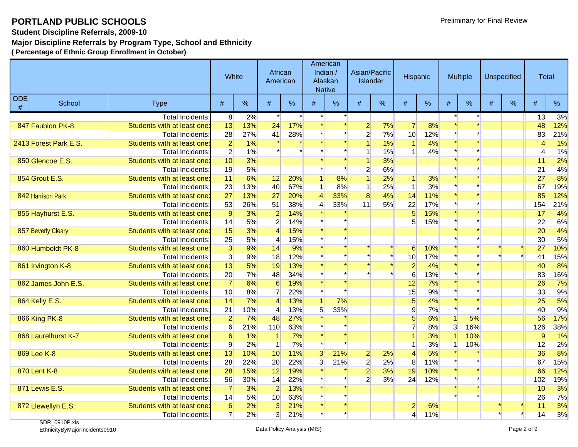#### **Student Discipline Referrals, 2009-10**

### **Major Discipline Referrals by Program Type, School and Ethnicity**

**( Percentage of Ethnic Group Enrollment in October)**

|   | <b>ODE</b><br>School<br><b>Type</b> |                             | White           |     | African<br>American |     |                | American<br>Indian /<br>Alaskan<br><b>Native</b> |                | Asian/Pacific<br><b>Islander</b> | Hispanic             |     |   | <b>Multiple</b> |   | Unspecified | Total          |     |
|---|-------------------------------------|-----------------------------|-----------------|-----|---------------------|-----|----------------|--------------------------------------------------|----------------|----------------------------------|----------------------|-----|---|-----------------|---|-------------|----------------|-----|
| # |                                     |                             | #               | %   | #                   | %   | #              | %                                                | #              | %                                | #                    | %   | # | %               | # | %           | #              | %   |
|   |                                     | <b>Total Incidents:</b>     | 8               | 2%  |                     |     |                |                                                  |                |                                  |                      |     |   |                 |   |             | 13             | 3%  |
|   | 847 Faubion PK-8                    | Students with at least one: | 13              | 13% | 24                  | 17% |                |                                                  | $\overline{2}$ | 7%                               | $\overline{7}$       | 8%  |   |                 |   |             | 48             | 12% |
|   |                                     | Total Incidents:            | 28              | 27% | 41                  | 28% |                |                                                  | $\overline{2}$ | 7%                               | 10                   | 12% |   |                 |   |             | 83             | 21% |
|   | 2413 Forest Park E.S.               | Students with at least one: | $\overline{2}$  | 1%  |                     |     |                |                                                  |                | 1%                               | -1                   | 4%  |   |                 |   |             | $\overline{4}$ | 1%  |
|   |                                     | <b>Total Incidents:</b>     | $\overline{2}$  | 1%  |                     |     |                |                                                  | 1              | 1%                               | $\overline{1}$       | 4%  |   |                 |   |             | 4              | 1%  |
|   | 850 Glencoe E.S.                    | Students with at least one  | 10              | 3%  |                     |     |                |                                                  |                | 3%                               |                      |     |   |                 |   |             | 11             | 2%  |
|   |                                     | Total Incidents:            | 19              | 5%  |                     |     |                |                                                  | $\overline{2}$ | 6%                               |                      |     |   |                 |   |             | 21             | 4%  |
|   | 854 Grout E.S.                      | Students with at least one: | 11              | 6%  | 12                  | 20% |                | 8%                                               | $\overline{1}$ | 2%                               | $\blacktriangleleft$ | 3%  |   |                 |   |             | 27             | 8%  |
|   |                                     | Total Incidents:            | 23              | 13% | 40                  | 67% |                | 8%                                               | $\mathbf 1$    | 2%                               | $\blacktriangleleft$ | 3%  |   |                 |   |             | 67             | 19% |
|   | 842 Harrison Park                   | Students with at least one: | 27              | 13% | 27                  | 20% | $\overline{4}$ | 33%                                              | $\overline{8}$ | 4%                               | 14                   | 11% |   |                 |   |             | 85             | 12% |
|   |                                     | Total Incidents:            | 53              | 26% | 51                  | 38% | 4              | 33%                                              | 11             | 5%                               | 22                   | 17% |   |                 |   |             | 154            | 21% |
|   | 855 Hayhurst E.S.                   | Students with at least one: | $\overline{9}$  | 3%  | $\overline{2}$      | 14% |                |                                                  |                |                                  | $5\overline{5}$      | 15% |   |                 |   |             | 17             | 4%  |
|   |                                     | <b>Total Incidents:</b>     | 14              | 5%  | $\overline{2}$      | 14% |                |                                                  |                |                                  | 5 <sup>5</sup>       | 15% |   |                 |   |             | 22             | 6%  |
|   | 857 Beverly Cleary                  | Students with at least one: | 15              | 3%  | $\overline{4}$      | 15% |                |                                                  |                |                                  |                      |     |   |                 |   |             | 20             | 4%  |
|   |                                     | Total Incidents:            | 25              | 5%  | 4                   | 15% |                |                                                  |                |                                  |                      |     |   |                 |   |             | 30             | 5%  |
|   | 860 Humboldt PK-8                   | Students with at least one: | 3               | 9%  | 14                  | 9%  |                |                                                  |                |                                  | 6                    | 10% |   |                 |   |             | 27             | 10% |
|   |                                     | Total Incidents:            | $\overline{3}$  | 9%  | 18                  | 12% |                |                                                  |                |                                  | 10                   | 17% |   |                 |   |             | 41             | 15% |
|   | 861 Irvington K-8                   | Students with at least one: | 13              | 5%  | 19                  | 13% |                |                                                  |                |                                  | $\overline{2}$       | 4%  |   |                 |   |             | 40             | 8%  |
|   |                                     | Total Incidents:            | 20              | 7%  | 48                  | 34% |                |                                                  |                |                                  | 6                    | 13% |   |                 |   |             | 83             | 16% |
|   | 862 James John E.S.                 | Students with at least one: | $\overline{7}$  | 6%  | 6                   | 19% |                |                                                  |                |                                  | 12                   | 7%  |   |                 |   |             | 26             | 7%  |
|   |                                     | Total Incidents:            | 10              | 8%  |                     | 22% |                |                                                  |                |                                  | 15                   | 9%  |   |                 |   |             | 33             | 9%  |
|   | 864 Kelly E.S.                      | Students with at least one: | 14              | 7%  |                     | 13% |                | 7%                                               |                |                                  | $\overline{5}$       | 4%  |   |                 |   |             | 25             | 5%  |
|   |                                     | Total Incidents:            | 21              | 10% |                     | 13% | 5 <sup>5</sup> | 33%                                              |                |                                  | 9                    | 7%  |   |                 |   |             | 40             | 9%  |
|   | 866 King PK-8                       | Students with at least one: | $\overline{2}$  | 7%  | 48                  | 27% |                |                                                  |                |                                  | $5\overline{)}$      | 6%  |   | 5%              |   |             | 56             | 17% |
|   |                                     | <b>Total Incidents:</b>     | 6               | 21% | 110                 | 63% |                |                                                  |                |                                  |                      | 8%  | 3 | 16%             |   |             | 126            | 38% |
|   | 868 Laurelhurst K-7                 | Students with at least one: | 6               | 1%  |                     | 7%  |                |                                                  |                |                                  |                      | 3%  |   | 10%             |   |             | 9              | 1%  |
|   |                                     | <b>Total Incidents:</b>     | $\overline{9}$  | 2%  |                     | 7%  |                |                                                  |                |                                  | $\overline{1}$       | 3%  |   | 10%             |   |             | 12             | 2%  |
|   | 869 Lee K-8                         | Students with at least one: | 13              | 10% | 10                  | 11% | 3              | 21%                                              | $\overline{2}$ | 2%                               | $\vert 4 \vert$      | 5%  |   |                 |   |             | 36             | 8%  |
|   |                                     | Total Incidents:            | 28              | 22% | 20                  | 22% | 3              | 21%                                              | $\mathbf{2}$   | 2%                               | 8                    | 11% |   |                 |   |             | 67             | 15% |
|   | 870 Lent K-8                        | Students with at least one: | 28              | 15% | 12                  | 19% |                |                                                  | $\overline{2}$ | 3%                               | 19                   | 10% |   |                 |   |             | 66             | 12% |
|   |                                     | <b>Total Incidents:</b>     | 56              | 30% | 14                  | 22% |                |                                                  | $\overline{2}$ | 3%                               | 24                   | 12% |   |                 |   |             | 102            | 19% |
|   | 871 Lewis E.S.                      | Students with at least one: | $\overline{7}$  | 3%  | $\overline{2}$      | 13% |                |                                                  |                |                                  |                      |     |   |                 |   |             | 10             | 3%  |
|   |                                     | <b>Total Incidents:</b>     | 14              | 5%  | 10                  | 63% |                |                                                  |                |                                  |                      |     |   |                 |   |             | 26             | 7%  |
|   | 872 Llewellyn E.S.                  | Students with at least one: | $6 \overline{}$ | 2%  | $\overline{3}$      | 21% |                |                                                  |                |                                  | $\overline{2}$       | 6%  |   |                 |   |             | 11             | 3%  |
|   |                                     | Total Incidents:            | $\overline{7}$  | 2%  | 3                   | 21% |                |                                                  |                |                                  | $\overline{4}$       | 11% |   |                 |   |             | 14             | 3%  |

SDR\_0910P.xls EthnicityByMajorIncidents0910 Data Policy Analysis (MIS) Page 2 of 9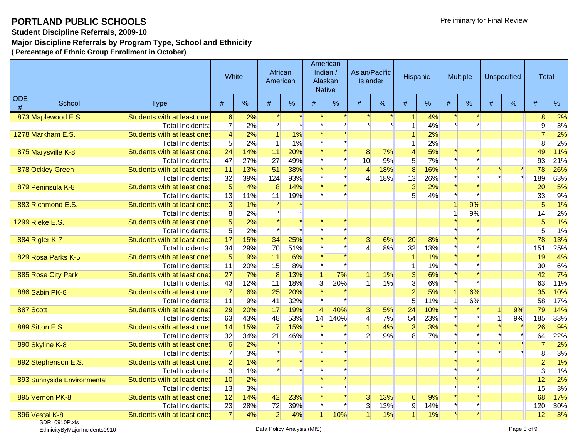**Student Discipline Referrals, 2009-10**

### **Major Discipline Referrals by Program Type, School and Ethnicity**

**( Percentage of Ethnic Group Enrollment in October)**

|   | <b>ODE</b><br>School<br><b>Type</b> |                             |                  | White | African<br>American |     |                | American<br>Indian $/$<br>Alaskan<br><b>Native</b> |                | Asian/Pacific<br><b>Islander</b> | Hispanic                |     |   | Multiple |   | Unspecified | <b>Total</b>    |     |
|---|-------------------------------------|-----------------------------|------------------|-------|---------------------|-----|----------------|----------------------------------------------------|----------------|----------------------------------|-------------------------|-----|---|----------|---|-------------|-----------------|-----|
| # |                                     |                             | #                | %     | $\#$                | %   | $\#$           | %                                                  | $\#$           | %                                | #                       | %   | # | %        | # | %           | #               | %   |
|   | 873 Maplewood E.S.                  | Students with at least one: | $6 \overline{6}$ | 2%    |                     |     |                |                                                    |                |                                  | 1                       | 4%  |   |          |   |             | 8               | 2%  |
|   |                                     | <b>Total Incidents:</b>     | $\overline{7}$   | 2%    |                     |     |                |                                                    |                |                                  |                         | 4%  |   |          |   |             | $\overline{9}$  | 3%  |
|   | 1278 Markham E.S.                   | Students with at least one: | $\overline{4}$   | 2%    |                     | 1%  |                |                                                    |                |                                  |                         | 2%  |   |          |   |             | $\overline{7}$  | 2%  |
|   |                                     | <b>Total Incidents:</b>     | 5 <sup>1</sup>   | 2%    |                     | 1%  |                |                                                    |                |                                  |                         | 2%  |   |          |   |             | 8               | 2%  |
|   | 875 Marysville K-8                  | Students with at least one  | 24               | 14%   | 11                  | 20% |                |                                                    | 8 <sup>°</sup> | 7%                               | $\overline{\mathbf{r}}$ | 5%  |   |          |   |             | 49              | 11% |
|   |                                     | Total Incidents:            | 47               | 27%   | 27                  | 49% |                |                                                    | 10             | 9%                               | 5                       | 7%  |   |          |   |             | 93              | 21% |
|   | 878 Ockley Green                    | Students with at least one: | 11               | 13%   | 51                  | 38% |                |                                                    | $\overline{4}$ | 18%                              | $\overline{8}$          | 16% |   |          |   |             | 78              | 26% |
|   |                                     | Total Incidents:            | 32               | 39%   | 124                 | 93% |                |                                                    | $\overline{4}$ | 18%                              | 13                      | 26% |   |          |   |             | 189             | 63% |
|   | 879 Peninsula K-8                   | Students with at least one: | $5\overline{5}$  | 4%    | 8                   | 14% |                |                                                    |                |                                  | $\overline{3}$          | 2%  |   |          |   |             | 20              | 5%  |
|   |                                     | <b>Total Incidents:</b>     | 13               | 11%   | 11                  | 19% |                |                                                    |                |                                  | 5 <sup>1</sup>          | 4%  |   |          |   |             | 33              | 9%  |
|   | 883 Richmond E.S.                   | Students with at least one: | $\overline{3}$   | 1%    |                     |     |                |                                                    |                |                                  |                         |     |   | 9%       |   |             | $5\overline{)}$ | 1%  |
|   |                                     | Total Incidents:            | 8                | 2%    |                     |     |                |                                                    |                |                                  |                         |     |   | 9%       |   |             | 14              | 2%  |
|   | <b>1299 Rieke E.S.</b>              | Students with at least one: | $5\overline{5}$  | 2%    |                     |     |                |                                                    |                |                                  |                         |     |   |          |   |             | 5               | 1%  |
|   |                                     | <b>Total Incidents:</b>     | $5\overline{)}$  | 2%    |                     |     |                |                                                    |                |                                  |                         |     |   |          |   |             | 5 <sup>5</sup>  | 1%  |
|   | 884 Rigler K-7                      | Students with at least one: | 17               | 15%   | 34                  | 25% |                |                                                    | $\overline{3}$ | 6%                               | 20                      | 8%  |   |          |   |             | 78              | 13% |
|   |                                     | Total Incidents:            | 34               | 29%   | 70                  | 51% |                |                                                    | $\overline{4}$ | 8%                               | 32                      | 13% |   |          |   |             | 151             | 25% |
|   | 829 Rosa Parks K-5                  | Students with at least one  | $5\overline{5}$  | 9%    | 11                  | 6%  |                |                                                    |                |                                  |                         | 1%  |   |          |   |             | 19              | 4%  |
|   |                                     | <b>Total Incidents:</b>     | 11               | 20%   | 15                  | 8%  |                |                                                    |                |                                  | 1                       | 1%  |   |          |   |             | 30 <sup>°</sup> | 6%  |
|   | 885 Rose City Park                  | Students with at least one: | 27               | 7%    | 8                   | 13% |                | 7%                                                 |                | 1%                               | $\overline{3}$          | 6%  |   |          |   |             | 42              | 7%  |
|   |                                     | <b>Total Incidents:</b>     | 43               | 12%   | 11                  | 18% | $\overline{3}$ | 20%                                                |                | 1%                               | 3                       | 6%  |   |          |   |             | 63              | 11% |
|   | 886 Sabin PK-8                      | Students with at least one: | $\overline{7}$   | 6%    | 25                  | 20% |                |                                                    |                |                                  | $\overline{2}$          | 5%  |   | 6%       |   |             | 35              | 10% |
|   |                                     | Total Incidents:            | 11               | 9%    | 41                  | 32% |                |                                                    |                |                                  | 5 <sup>5</sup>          | 11% |   | 6%       |   |             | 58              | 17% |
|   | 887 Scott                           | Students with at least one: | 29               | 20%   | 17                  | 19% | $\overline{4}$ | 40%                                                | $\overline{3}$ | 5%                               | 24                      | 10% |   |          |   | 9%          | 79              | 14% |
|   |                                     | <b>Total Incidents:</b>     | 63               | 43%   | 48                  | 53% | 14             | 140%                                               | $\overline{4}$ | 7%                               | 54                      | 23% |   |          |   | 9%          | 185             | 33% |
|   | 889 Sitton E.S.                     | Students with at least one: | 14               | 15%   |                     | 15% |                |                                                    |                | 4%                               | 3                       | 3%  |   |          |   |             | 26              | 9%  |
|   |                                     | Total Incidents:            | 32               | 34%   | 21                  | 46% |                |                                                    | $\overline{2}$ | 9%                               | 8 <sup>1</sup>          | 7%  |   |          |   |             | 64              | 22% |
|   | 890 Skyline K-8                     | Students with at least one: | $6\overline{6}$  | 2%    |                     |     |                |                                                    |                |                                  |                         |     |   |          |   |             | $\overline{7}$  | 2%  |
|   |                                     | Total Incidents:            | $\overline{7}$   | 3%    |                     |     |                |                                                    |                |                                  |                         |     |   |          |   |             | 8               | 3%  |
|   | 892 Stephenson E.S.                 | Students with at least one: | $\overline{2}$   | 1%    |                     |     |                |                                                    |                |                                  |                         |     |   |          |   |             | $\overline{2}$  | 1%  |
|   |                                     | <b>Total Incidents:</b>     | $\overline{3}$   | 1%    |                     |     |                |                                                    |                |                                  |                         |     |   |          |   |             | $\overline{3}$  | 1%  |
|   | 893 Sunnyside Environmental         | Students with at least one: | 10               | 2%    |                     |     |                |                                                    |                |                                  |                         |     |   |          |   |             | 12              | 2%  |
|   |                                     | Total Incidents:            | 13               | 3%    |                     |     |                |                                                    |                |                                  |                         |     |   |          |   |             | 15              | 3%  |
|   | 895 Vernon PK-8                     | Students with at least one: | 12               | 14%   | 42                  | 23% |                |                                                    | $\overline{3}$ | 13%                              | $6 \,$                  | 9%  |   |          |   |             | 68              | 17% |
|   |                                     | Total Incidents:            | 23               | 28%   | 72                  | 39% |                |                                                    | 3              | 13%                              | $\overline{9}$          | 14% |   |          |   |             | 120             | 30% |
|   | 896 Vestal K-8                      | Students with at least one: | $\overline{7}$   | 4%    | $\overline{2}$      | 4%  |                | 10%                                                | 1              | 1%                               | $\vert$                 | 1%  |   |          |   |             | 12              | 3%  |

SDR\_0910P.xls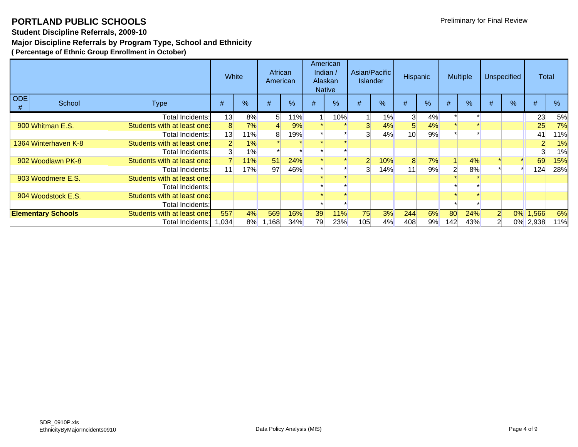### **Student Discipline Referrals, 2009-10**

### **Major Discipline Referrals by Program Type, School and Ethnicity**

|                 |                           |                             | White |       | African<br>American |     |    | American<br>Indian /<br>Alaskan<br><b>Native</b> |                | Asian/Pacific<br><b>Islander</b> | <b>Hispanic</b> |    |     | <b>Multiple</b> |                | <b>Unspecified</b> | Total               |      |
|-----------------|---------------------------|-----------------------------|-------|-------|---------------------|-----|----|--------------------------------------------------|----------------|----------------------------------|-----------------|----|-----|-----------------|----------------|--------------------|---------------------|------|
| <b>ODE</b><br># | School                    | <b>Type</b>                 | $\#$  | %     | #                   | %   | #  | %                                                | #              | %                                | #               | %  | #   | $\frac{9}{6}$   | #              | %                  | #                   | $\%$ |
|                 |                           | <b>Total Incidents:</b>     | 13    | 8%    | 51                  | 11% |    | 10%                                              |                | $1\%$                            | 3 <sup>1</sup>  | 4% |     |                 |                |                    | 23                  | 5%   |
|                 | 900 Whitman E.S.          | Students with at least one: | 8     | 7%    |                     | 9%  |    |                                                  |                | 4%                               | 5 <sup>5</sup>  | 4% |     |                 |                |                    | 25                  | 7%   |
|                 |                           | Total Incidents:            | 13    | 11%   | 8                   | 19% |    |                                                  | 3              | 4%                               | 10 <sup>1</sup> | 9% |     |                 |                |                    | 41                  | 11%  |
|                 | 1364 Winterhaven K-8      | Students with at least one: |       | 1%    |                     |     |    |                                                  |                |                                  |                 |    |     |                 |                |                    | $\overline{2}$      | 1%   |
|                 |                           | <b>Total Incidents:</b>     |       | $1\%$ |                     |     |    |                                                  |                |                                  |                 |    |     |                 |                |                    | 3                   | 1%   |
|                 | 902 Woodlawn PK-8         | Students with at least one: |       | 11%   | 51                  | 24% |    |                                                  | $\overline{2}$ | 10%                              | 8               | 7% |     | 4%              |                |                    | 69                  | 15%  |
|                 |                           | Total Incidents:            | 11    | 17%   | 97                  | 46% |    |                                                  | 3              | 14%                              | 11              | 9% |     | 8%              |                |                    | 124                 | 28%  |
|                 | 903 Woodmere E.S.         | Students with at least one: |       |       |                     |     |    |                                                  |                |                                  |                 |    |     |                 |                |                    |                     |      |
|                 |                           | <b>Total Incidents:</b>     |       |       |                     |     |    |                                                  |                |                                  |                 |    |     |                 |                |                    |                     |      |
|                 | 904 Woodstock E.S.        | Students with at least one: |       |       |                     |     |    |                                                  |                |                                  |                 |    |     |                 |                |                    |                     |      |
|                 |                           | <b>Total Incidents:</b>     |       |       |                     |     |    |                                                  |                |                                  |                 |    |     |                 |                |                    |                     |      |
|                 | <b>Elementary Schools</b> | Students with at least one: | 557   | 4%    | 569                 | 16% | 39 | 11%                                              | 75             | 3%                               | 244             | 6% | 80  | 24%             | $\overline{2}$ |                    | $\boxed{0\%}$ 1,566 | 6%   |
|                 |                           | Total Incidents:            | 1,034 | 8%    | ا168. ا             | 34% | 79 | 23%                                              | 105            | 4%                               | 408             | 9% | 142 | 43%             |                |                    | 0% 2,938            | 11%  |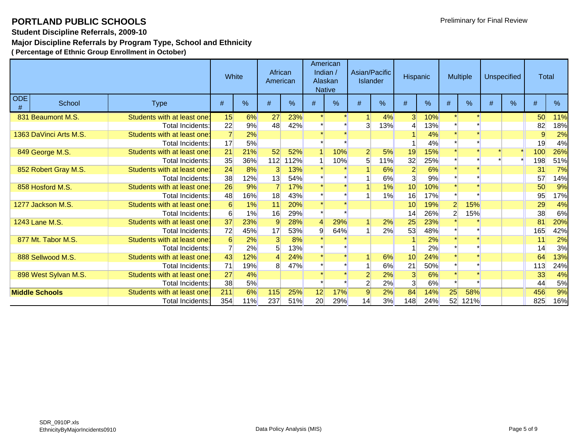### **Student Discipline Referrals, 2009-10**

## **Major Discipline Referrals by Program Type, School and Ethnicity**

| School<br><b>Type</b>  |                             |     | White         | African<br>American |               |    | American<br>Indian $/$<br>Alaskan<br><b>Native</b> | <b>Islander</b> | Asian/Pacific | Hispanic       |     |                | <b>Multiple</b> |   | <b>Unspecified</b> | <b>Total</b> |     |
|------------------------|-----------------------------|-----|---------------|---------------------|---------------|----|----------------------------------------------------|-----------------|---------------|----------------|-----|----------------|-----------------|---|--------------------|--------------|-----|
| <b>ODE</b><br>#        |                             | #   | $\frac{0}{0}$ | #                   | $\frac{0}{0}$ | #  | %                                                  | #               | %             | #              | %   | #              | $\%$            | # | $\frac{0}{6}$      | #            | %   |
| 831 Beaumont M.S.      | Students with at least one: | 15  | 6%            | 27                  | 23%           |    |                                                    |                 | 4%            | 3 <sup>l</sup> | 10% |                |                 |   |                    | 50           | 11% |
|                        | Total Incidents:            | 22  | 9%            | 48                  | 42%           |    |                                                    | 3               | 13%           |                | 13% |                |                 |   |                    | 82           | 18% |
| 1363 DaVinci Arts M.S. | Students with at least one: |     | 2%            |                     |               |    |                                                    |                 |               |                | 4%  |                |                 |   |                    | 9            | 2%  |
|                        | Total Incidents:            | 17  | 5%            |                     |               |    |                                                    |                 |               |                | 4%  |                |                 |   |                    | 19           | 4%  |
| 849 George M.S.        | Students with at least one: | 21  | 21%           | 52                  | 52%           |    | 10%                                                | $\overline{2}$  | 5%            | 19             | 15% |                |                 |   |                    | 100          | 26% |
|                        | Total Incidents:            | 35  | 36%           | 112                 | 112%          |    | 10%                                                | 5               | 11%           | 32             | 25% |                |                 |   |                    | 198          | 51% |
| 852 Robert Gray M.S.   | Students with at least one: | 24  | 8%            | 3                   | 13%           |    |                                                    |                 | 6%            | $\overline{2}$ | 6%  |                |                 |   |                    | 31           | 7%  |
|                        | Total Incidents:            | 38  | 12%           | 13                  | 54%           |    |                                                    |                 | 6%            | 3              | 9%  |                |                 |   |                    | 57           | 14% |
| 858 Hosford M.S.       | Students with at least one: | 26  | 9%            |                     | 17%           |    |                                                    |                 | 1%            | 10             | 10% |                |                 |   |                    | 50           | 9%  |
|                        | Total Incidents:            | 48  | 16%           | 18                  | 43%           |    |                                                    |                 | 1%            | 16             | 17% |                |                 |   |                    | 95           | 17% |
| 1277 Jackson M.S.      | Students with at least one: | 6   | 1%            | 11                  | 20%           |    |                                                    |                 |               | 10             | 19% | $\overline{2}$ | 15%             |   |                    | 29           | 4%  |
|                        | Total Incidents:            | 6   | 1%            | 16                  | 29%           |    |                                                    |                 |               | 14             | 26% | $\overline{2}$ | 15%             |   |                    | 38           | 6%  |
| 1243 Lane M.S.         | Students with at least one: | 37  | 23%           | 9                   | 28%           | Δ  | 29%                                                |                 | 2%            | 25             | 23% |                |                 |   |                    | 81           | 20% |
|                        | Total Incidents:            | 72  | 45%           | 17                  | 53%           | 9  | 64%                                                |                 | 2%            | 53             | 48% |                |                 |   |                    | 165          | 42% |
| 877 Mt. Tabor M.S.     | Students with at least one: | 6   | 2%            | 3                   | 8%            |    |                                                    |                 |               |                | 2%  |                |                 |   |                    | 11           | 2%  |
|                        | <b>Total Incidents:</b>     |     | 2%            |                     | 13%           |    |                                                    |                 |               |                | 2%  |                |                 |   |                    | 14           | 3%  |
| 888 Sellwood M.S.      | Students with at least one: | 43  | 12%           |                     | 24%           |    |                                                    |                 | 6%            | 10             | 24% |                |                 |   |                    | 64           | 13% |
|                        | Total Incidents:            | 71  | 19%           | 8                   | 47%           |    |                                                    |                 | 6%            | 21             | 50% |                |                 |   |                    | 113          | 24% |
| 898 West Sylvan M.S.   | Students with at least one: | 27  | 4%            |                     |               |    |                                                    | 2               | 2%            | 3              | 6%  |                |                 |   |                    | 33           | 4%  |
|                        | Total Incidents:            | 38  | 5%            |                     |               |    |                                                    | $\mathbf{2}$    | 2%            | $\overline{3}$ | 6%  |                |                 |   |                    | 44           | 5%  |
| <b>Middle Schools</b>  | Students with at least one: | 211 | 6%            | 115                 | 25%           | 12 | 17%                                                | $\overline{9}$  | 2%            | 84             | 14% | 25             | 58%             |   |                    | 456          | 9%  |
|                        | Total Incidents:            | 354 | 11%           | 237                 | 51%           | 20 | 29%                                                | 14              | 3%            | 148            | 24% | 52             | <b>121%</b>     |   |                    | 825          | 16% |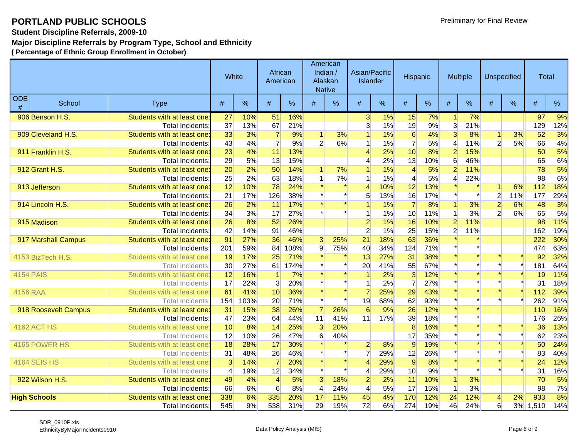**Student Discipline Referrals, 2009-10**

### **Major Discipline Referrals by Program Type, School and Ethnicity**

|                 | <b>ODE</b><br>School<br><b>Type</b> |                             | White |      | African<br>American |               | <b>Native</b>   | American<br>Indian /<br>Alaskan | Asian/Pacific   | <b>Islander</b> | Hispanic       |      |                       | <b>Multiple</b> |                | <b>Unspecified</b> | Total |      |
|-----------------|-------------------------------------|-----------------------------|-------|------|---------------------|---------------|-----------------|---------------------------------|-----------------|-----------------|----------------|------|-----------------------|-----------------|----------------|--------------------|-------|------|
| #               |                                     |                             | $\#$  | $\%$ | #                   | $\frac{0}{0}$ | #               | %                               | #               | %               | #              | $\%$ | #                     | $\%$            | #              | $\frac{9}{6}$      | #     | $\%$ |
|                 | 906 Benson H.S.                     | Students with at least one: | 27    | 10%  | 51                  | 16%           |                 |                                 | $\mathbf{3}$    | 1%              | 15             | 7%   | $\blacktriangleleft$  | 7%              |                |                    | 97    | 9%   |
|                 |                                     | Total Incidents:            | 37    | 13%  | 67                  | 21%           |                 |                                 | $\overline{3}$  | 1%              | 19             | 9%   | $\overline{3}$        | 21%             |                |                    | 129   | 12%  |
|                 | 909 Cleveland H.S.                  | Students with at least one  | 33    | 3%   | $\overline{7}$      | 9%            | $\vert$         | 3%                              |                 | 1%              | 6              | 4%   | 3                     | 8%              | $\vert$        | 3%                 | 52    | 3%   |
|                 |                                     | <b>Total Incidents:</b>     | 43    | 4%   | $\overline{7}$      | 9%            | $\overline{2}$  | 6%                              | 1               | 1%              | $\overline{7}$ | 5%   | $\boldsymbol{\Delta}$ | 11%             | $\overline{2}$ | 5%                 | 66    | 4%   |
|                 | 911 Franklin H.S.                   | Students with at least one  | 23    | 4%   | 11                  | 13%           |                 |                                 | 4               | 2%              | 10             | 8%   | $\overline{2}$        | 15%             |                |                    | 50    | 5%   |
|                 |                                     | Total Incidents:            | 29    | 5%   | 13                  | 15%           |                 |                                 | $\overline{4}$  | 2%              | 13             | 10%  | 6                     | 46%             |                |                    | 65    | 6%   |
|                 | 912 Grant H.S.                      | Students with at least one  | 20    | 2%   | 50                  | 14%           |                 | 7%                              |                 | 1%              | $\overline{4}$ | 5%   | 2                     | 11%             |                |                    | 78    | 5%   |
|                 |                                     | Total Incidents:            | 25    | 2%   | 63                  | 18%           | -1              | 7%                              | 1               | 1%              | $\overline{4}$ | 5%   | $\boldsymbol{\Delta}$ | 22%             |                |                    | 98    | 6%   |
|                 | 913 Jefferson                       | Students with at least one  | 12    | 10%  | 78                  | 24%           |                 |                                 | 4               | 10%             | 12             | 13%  |                       |                 | 1              | 6%                 | 112   | 18%  |
|                 |                                     | Total Incidents:            | 21    | 17%  | 126                 | 38%           |                 |                                 | 5               | 13%             | 16             | 17%  |                       |                 | $\overline{2}$ | 11%                | 177   | 29%  |
|                 | 914 Lincoln H.S.                    | Students with at least one  | 26    | 2%   | 11                  | 17%           |                 |                                 |                 | 1%              | $\overline{7}$ | 8%   |                       | 3%              | $\overline{2}$ | 6%                 | 48    | 3%   |
|                 |                                     | Total Incidents:            | 34    | 3%   | 17                  | 27%           |                 |                                 |                 | 1%              | 10             | 11%  |                       | 3%              | $\overline{2}$ | 6%                 | 65    | 5%   |
|                 | 915 Madison                         | Students with at least one  | 26    | 8%   | 52                  | 26%           |                 |                                 | $\overline{2}$  | 1%              | 16             | 10%  | $\overline{2}$        | 11%             |                |                    | 98    | 11%  |
|                 |                                     | Total Incidents:            | 42    | 14%  | 91                  | 46%           |                 |                                 | $\overline{2}$  | 1%              | 25             | 15%  | $\overline{2}$        | 11%             |                |                    | 162   | 19%  |
|                 | 917 Marshall Campus                 | Students with at least one  | 91    | 27%  | 36                  | 46%           | 3               | 25%                             | $\overline{21}$ | 18%             | 63             | 36%  |                       |                 |                |                    | 222   | 30%  |
|                 |                                     | Total Incidents:            | 201   | 59%  | 84                  | 108%          | $\overline{9}$  | 75%                             | 40              | 34%             | 124            | 71%  |                       |                 |                |                    | 474   | 63%  |
|                 | 4153 BizTech H.S.                   | Students with at least one  | 19    | 17%  | 25                  | 71%           |                 |                                 | 13              | 27%             | 31             | 38%  |                       |                 |                |                    | 92    | 32%  |
|                 |                                     | <b>Total Incidents</b>      | 30    | 27%  | 61                  | 174%          |                 |                                 | 20              | 41%             | 55             | 67%  |                       |                 |                |                    | 181   | 64%  |
|                 | <b>4154 PAIS</b>                    | Students with at least one  | 12    | 16%  |                     | 7%            |                 |                                 |                 | 2%              | $\overline{3}$ | 12%  |                       |                 |                |                    | 19    | 11%  |
|                 |                                     | <b>Total Incidents</b>      | 17    | 22%  | $\overline{3}$      | 20%           |                 |                                 |                 | 2%              | $\overline{7}$ | 27%  |                       |                 |                |                    | 31    | 18%  |
| <b>4156 RAA</b> |                                     | Students with at least one  | 61    | 41%  | 10                  | 36%           |                 |                                 |                 | 25%             | 29             | 43%  |                       |                 |                |                    | 112   | 39%  |
|                 |                                     | <b>Total Incidents</b>      | 154   | 103% | 20                  | 71%           |                 |                                 | 19              | 68%             | 62             | 93%  |                       |                 |                |                    | 262   | 91%  |
|                 | 918 Roosevelt Campus                | Students with at least one  | 31    | 15%  | 38                  | 26%           |                 | 26%                             | 6               | 9%              | 26             | 12%  |                       |                 |                |                    | 110   | 16%  |
|                 |                                     | Total Incidents:            | 47    | 23%  | 64                  | 44%           | 11              | 41%                             | 11              | 17%             | 39             | 18%  |                       |                 |                |                    | 176   | 26%  |
|                 | <b>4162 ACT HS</b>                  | Students with at least one  | 10    | 8%   | 14                  | 25%           | 3               | 20%                             |                 |                 | 8              | 16%  |                       |                 |                |                    | 36    | 13%  |
|                 |                                     | <b>Total Incidents</b>      | 12    | 10%  | 26                  | 47%           | 6               | 40%                             |                 |                 | 17             | 35%  |                       |                 |                |                    | 62    | 23%  |
|                 | 4165 POWER HS                       | Students with at least one  | 18    | 28%  | 17                  | 30%           |                 |                                 | $\overline{2}$  | 8%              | $\overline{9}$ | 19%  |                       |                 |                |                    | 50    | 24%  |
|                 |                                     | <b>Total Incidents</b>      | 31    | 48%  | 26                  | 46%           |                 |                                 | $\overline{7}$  | 29%             | 12             | 26%  |                       |                 |                |                    | 83    | 40%  |
|                 | <b>4164 SEIS HS</b>                 | Students with at least one  | 3     | 14%  |                     | 20%           |                 |                                 | $\overline{4}$  | 29%             | 9              | 8%   |                       |                 |                |                    | 24    | 12%  |
|                 |                                     | <b>Total Incidents</b>      | 4     | 19%  | 12                  | 34%           |                 |                                 | 4               | 29%             | 10             | 9%   |                       |                 |                |                    | 31    | 16%  |
|                 | 922 Wilson H.S.                     | Students with at least one  | 49    | 4%   | $\overline{4}$      | 5%            | 3               | 18%                             | $\overline{2}$  | 2%              | 11             | 10%  |                       | 3%              |                |                    | 70    | 5%   |
|                 |                                     | <b>Total Incidents</b>      | 66    | 6%   | 6                   | 8%            | $\overline{4}$  | 24%                             | $\vert 4 \vert$ | 5%              | 17             | 15%  |                       | 3%              |                |                    | 98    | 7%   |
|                 | <b>High Schools</b>                 | Students with at least one  | 338   | 6%   | 335                 | 20%           | $\overline{17}$ | 11%                             | 45              | 4%              | 170            | 12%  | $\overline{24}$       | 12%             | $\overline{4}$ | 2%                 | 933   | 8%   |
|                 |                                     | <b>Total Incidents</b>      | 545   | 9%   | 538                 | 31%           | 29              | 19%                             | 72              | 6%              | 274            | 19%  | 46                    | 24%             | $6 \mid$       | 3%                 | 1,510 | 14%  |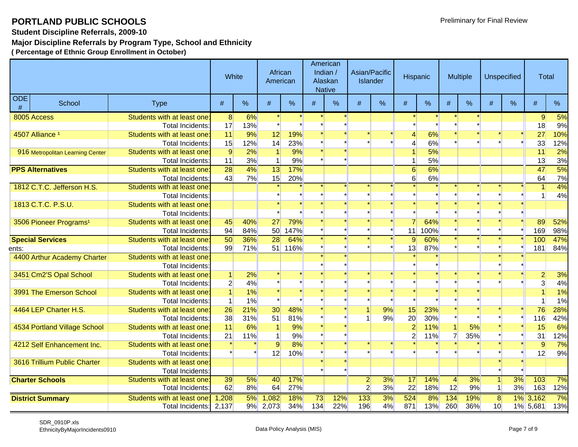**Student Discipline Referrals, 2009-10**

### **Major Discipline Referrals by Program Type, School and Ethnicity**

|       | <b>ODE</b><br>School<br><b>Type</b> |                             |                 | White | African<br>American |             |       | American<br>Indian /<br>Alaskan<br><b>Native</b> |                | Asian/Pacific<br>Islander | Hispanic       |      |                | Multiple |                | <b>Unspecified</b> | <b>Total</b>   |     |
|-------|-------------------------------------|-----------------------------|-----------------|-------|---------------------|-------------|-------|--------------------------------------------------|----------------|---------------------------|----------------|------|----------------|----------|----------------|--------------------|----------------|-----|
| #     |                                     |                             | #               | %     | #                   | %           | #     | %                                                | #              | $\%$                      | #              | %    | #              | $\%$     | #              | $\%$               | #              | %   |
|       | 8005 Access                         | Students with at least one: | 8               | 6%    |                     |             |       |                                                  |                |                           |                |      |                |          |                |                    | 9              | 5%  |
|       |                                     | <b>Total Incidents:</b>     | 17              | 13%   |                     |             |       |                                                  |                |                           |                |      |                |          |                |                    | 18             | 9%  |
|       | 4507 Alliance <sup>1</sup>          | Students with at least one: | 11              | 9%    | 12                  | 19%         |       |                                                  |                |                           | 4              | 6%   |                |          |                |                    | 27             | 10% |
|       |                                     | <b>Total Incidents</b>      | 15              | 12%   | 14                  | 23%         |       |                                                  |                |                           | 4              | 6%   |                |          |                |                    | 33             | 12% |
|       | 916 Metropolitan Learning Center    | Students with at least one  | 9               | 2%    | 1                   | 9%          |       |                                                  |                |                           |                | 5%   |                |          |                |                    | 11             | 2%  |
|       |                                     | <b>Total Incidents</b>      | 11              | 3%    | 1                   | 9%          |       |                                                  |                |                           | 1              | 5%   |                |          |                |                    | 13             | 3%  |
|       | <b>PPS Alternatives</b>             | Students with at least one: | $\overline{28}$ | 4%    | $\overline{13}$     | 17%         |       |                                                  |                |                           | 6              | 6%   |                |          |                |                    | 47             | 5%  |
|       |                                     | <b>Total Incidents</b>      | 43              | 7%    | 15                  | 20%         |       |                                                  |                |                           | $6 \mid$       | 6%   |                |          |                |                    | 64             | 7%  |
|       | 1812 C.T.C. Jefferson H.S.          | Students with at least one: |                 |       |                     |             |       |                                                  |                |                           |                |      |                |          |                |                    |                | 4%  |
|       |                                     | Total Incidents:            |                 |       |                     |             |       |                                                  |                |                           |                |      |                |          |                |                    |                | 4%  |
|       | 1813 C.T.C. P.S.U.                  | Students with at least one: |                 |       |                     |             |       |                                                  |                |                           |                |      |                |          |                |                    |                |     |
|       |                                     | <b>Total Incidents</b>      |                 |       |                     |             |       |                                                  |                |                           |                |      |                |          |                |                    |                |     |
|       | 3506 Pioneer Programs <sup>1</sup>  | Students with at least one  | 45              | 40%   | 27                  | 79%         |       |                                                  |                |                           |                | 64%  |                |          |                |                    | 89             | 52% |
|       |                                     | <b>Total Incidents</b>      | 94              | 84%   | 50 <sup>2</sup>     | <b>147%</b> |       |                                                  |                |                           | 11             | 100% |                |          |                |                    | 169            | 98% |
|       | <b>Special Services</b>             | Students with at least one: | 50              | 36%   | $\overline{28}$     | 64%         |       |                                                  |                |                           | 9              | 60%  |                |          |                |                    | 100            | 47% |
| ents: |                                     | <b>Total Incidents:</b>     | 99              | 71%   | 51                  | <b>116%</b> |       |                                                  |                |                           | 13             | 87%  |                |          |                |                    | 181            | 84% |
|       | 4400 Arthur Academy Charter         | Students with at least one: |                 |       |                     |             |       |                                                  |                |                           |                |      |                |          |                |                    |                |     |
|       |                                     | Total Incidents:            |                 |       |                     |             |       |                                                  |                |                           |                |      |                |          |                |                    |                |     |
|       | 3451 Cm2'S Opal School              | Students with at least one: | 1               | 2%    |                     |             |       |                                                  |                |                           |                |      |                |          |                |                    | $\overline{2}$ | 3%  |
|       |                                     | <b>Total Incidents</b>      | $\mathbf{2}$    | 4%    |                     |             |       |                                                  |                |                           |                |      |                |          |                |                    | $\overline{3}$ | 4%  |
|       | 3991 The Emerson School             | Students with at least one: |                 | 1%    |                     |             |       |                                                  |                |                           |                |      |                |          |                |                    | $\overline{1}$ | 1%  |
|       |                                     | <b>Total Incidents</b>      | -1              | 1%    |                     |             |       |                                                  |                |                           |                |      |                |          |                |                    | 1              | 1%  |
|       | 4464 LEP Charter H.S.               | Students with at least one  | 26              | 21%   | 30                  | 48%         |       |                                                  |                | 9%                        | 15             | 23%  |                |          |                |                    | 76             | 28% |
|       |                                     | Total Incidents:            | 38              | 31%   | 51                  | 81%         |       |                                                  |                | 9%                        | 20             | 30%  |                |          |                |                    | 116            | 42% |
|       | 4534 Portland Village School        | Students with at least one: | 11              | 6%    |                     | 9%          |       |                                                  |                |                           | $\overline{2}$ | 11%  |                | 5%       |                |                    | 15             | 6%  |
|       |                                     | <b>Total Incidents</b>      | 21              | 11%   | 1                   | 9%          |       |                                                  |                |                           | $\overline{2}$ | 11%  |                | 35%      |                |                    | 31             | 12% |
|       | 4212 Self Enhancement Inc.          | Students with at least one: |                 |       | $\overline{9}$      | 8%          |       |                                                  |                |                           |                |      |                |          |                |                    | 9              | 7%  |
|       |                                     | Total Incidents:            |                 |       | 12                  | 10%         |       |                                                  |                |                           |                |      |                |          |                |                    | 12             | 9%  |
|       | 3616 Trillium Public Charter        | Students with at least one: |                 |       |                     |             |       |                                                  |                |                           |                |      |                |          |                |                    |                |     |
|       |                                     | <b>Total Incidents</b>      |                 |       |                     |             |       |                                                  |                |                           |                |      |                |          |                |                    |                |     |
|       | <b>Charter Schools</b>              | Students with at least one  | 39              | 5%    | 40                  | 17%         |       |                                                  | $\overline{2}$ | 3%                        | 17             | 14%  | $\overline{4}$ | 3%       | $\vert$        | 3%                 | 103            | 7%  |
|       |                                     | <b>Total Incidents</b>      | 62              | 8%    | 64                  | 27%         |       |                                                  | $\overline{2}$ | 3%                        | 22             | 18%  | 12             | 9%       | 1 <sup>1</sup> | 3%                 | 163            | 12% |
|       | <b>District Summary</b>             | Students with at least one: | 1,208           | 5%    | 1,082               | 18%         | 73    | 12%                                              | 133            | 3%                        | 524            | 8%   | 134            | 19%      | 8              | $1\%$              | 3,162          | 7%  |
|       |                                     | <b>Total Incidents:</b>     | 2,137           |       | 9% 2,073            | 34%         | $134$ | 22%                                              | 196            | 4%                        | 871            | 13%  | 260            | 36%      | 10             |                    | 1% 5,681       | 13% |